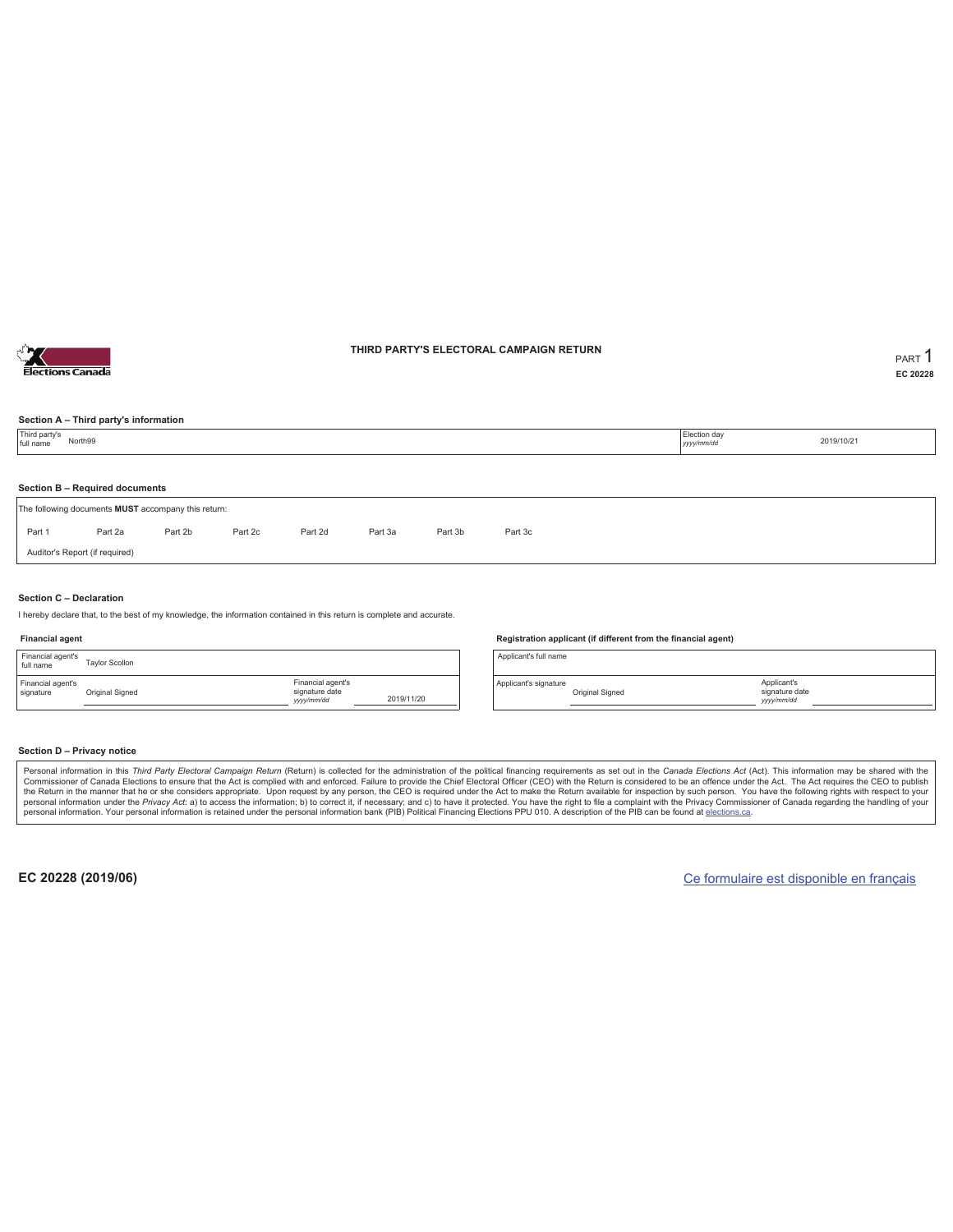

## **THIRD PARTY'S ELECTORAL CAMPAIGN RETURN PART** 1

**EC 20228**

## **Section A – Third party's information**

| Third party's<br>full name     | North99                        |                                                     |         | Election day<br>2019/10/21<br>yyyy/mm/dd |         |         |         |  |  |  |  |  |
|--------------------------------|--------------------------------|-----------------------------------------------------|---------|------------------------------------------|---------|---------|---------|--|--|--|--|--|
|                                |                                |                                                     |         |                                          |         |         |         |  |  |  |  |  |
| Section B - Required documents |                                |                                                     |         |                                          |         |         |         |  |  |  |  |  |
|                                |                                | The following documents MUST accompany this return: |         |                                          |         |         |         |  |  |  |  |  |
| Part 1                         | Part 2a                        | Part 2b                                             | Part 2c | Part 2d                                  | Part 3a | Part 3b | Part 3c |  |  |  |  |  |
|                                | Auditor's Report (if required) |                                                     |         |                                          |         |         |         |  |  |  |  |  |
|                                |                                |                                                     |         |                                          |         |         |         |  |  |  |  |  |

### **Section C – Declaration**

I hereby declare that, to the best of my knowledge, the information contained in this return is complete and accurate.

### **Financial agent**

| Financial agent's<br>full name | <b>Tavlor Scollon</b> |                                                  |            |
|--------------------------------|-----------------------|--------------------------------------------------|------------|
| Financial agent's<br>signature | Original Signed       | Financial agent's<br>signature date<br>yyy/mm/dd | 2019/11/20 |

#### **Registration applicant (if different from the financial agent)**

Applicant's full name

Applicant's signature Original Signed

### **Section D – Privacy notice**

Personal information in this Third Party Electoral Campaign Return (Return) is collected for the administration of the political financing requirements as set out in the Canada Elections Act (Act). This information may be Commissioner of Canada Elections to ensure that the Act is complied with and enforced. Failure to provide the Chief Electoral Officer (CEO) with the Return is considered to be an offence under the Act. The Act requires the personal information. Your personal information is retained under the personal information bank (PIB) Political Financing Elections PPU 010. A description of the PIB can be found at elections.ca.

**EC 20228 (2019/06)** Ce formulaire est disponible en français

Applicant's signature date *yyyy/mm/dd*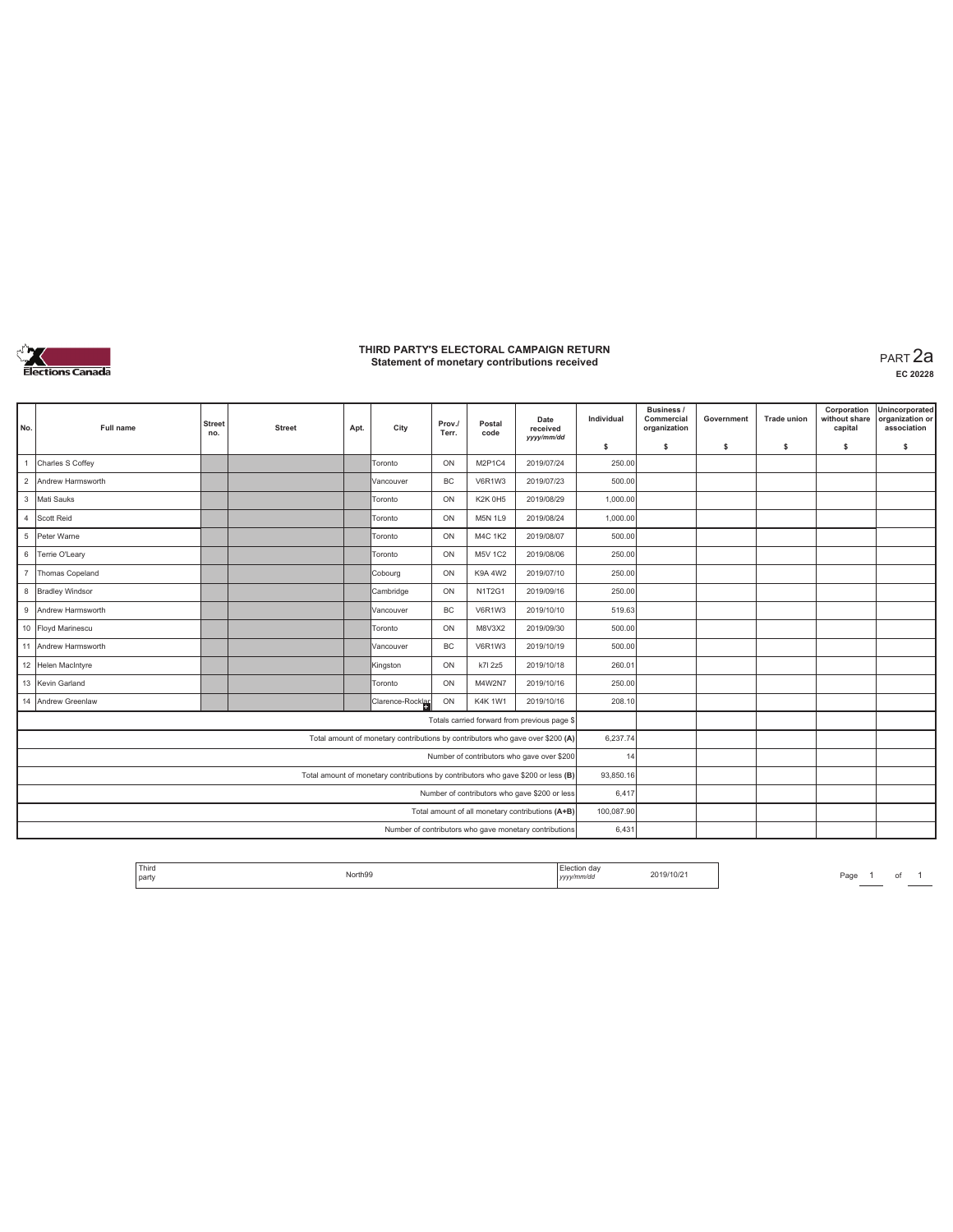

## **THIRD PARTY'S ELECTORAL CAMPAIGN RETURN Statement of monetary contributions received** PART 2a

**EC 20228**

| No.                                                                               | Full name                                              | <b>Street</b><br>no. | <b>Street</b> | Apt. | City                                                                           | Prov./<br>Terr. | Postal<br>code | Date<br>received<br>yyyy/mm/dd                   | Individual | Business /<br>Commercial<br>organization | Government | <b>Trade union</b> | Corporation<br>without share<br>capital | Unincorporated<br>organization or<br>association |
|-----------------------------------------------------------------------------------|--------------------------------------------------------|----------------------|---------------|------|--------------------------------------------------------------------------------|-----------------|----------------|--------------------------------------------------|------------|------------------------------------------|------------|--------------------|-----------------------------------------|--------------------------------------------------|
|                                                                                   |                                                        |                      |               |      |                                                                                |                 |                |                                                  | \$         | s.                                       | -S         | s.                 | \$                                      | s                                                |
|                                                                                   | Charles S Coffey                                       |                      |               |      | Toronto                                                                        | ON              | M2P1C4         | 2019/07/24                                       | 250.00     |                                          |            |                    |                                         |                                                  |
| $\overline{2}$                                                                    | Andrew Harmsworth                                      |                      |               |      | Vancouver                                                                      | <b>BC</b>       | V6R1W3         | 2019/07/23                                       | 500.00     |                                          |            |                    |                                         |                                                  |
|                                                                                   | 3 Mati Sauks                                           |                      |               |      | Toronto                                                                        | ON              | <b>K2K 0H5</b> | 2019/08/29                                       | 1,000.00   |                                          |            |                    |                                         |                                                  |
|                                                                                   | 4 Scott Reid                                           |                      |               |      | Toronto                                                                        | ON              | <b>M5N 1L9</b> | 2019/08/24                                       | 1,000.00   |                                          |            |                    |                                         |                                                  |
|                                                                                   | 5 Peter Warne                                          |                      |               |      | Toronto                                                                        | ON              | <b>M4C 1K2</b> | 2019/08/07                                       | 500.00     |                                          |            |                    |                                         |                                                  |
|                                                                                   | 6 Terrie O'Leary                                       |                      |               |      | Toronto                                                                        | ON              | <b>M5V 1C2</b> | 2019/08/06                                       | 250.00     |                                          |            |                    |                                         |                                                  |
| $\overline{7}$                                                                    | Thomas Copeland                                        |                      |               |      | Cobourg                                                                        | ON              | K9A 4W2        | 2019/07/10                                       | 250.00     |                                          |            |                    |                                         |                                                  |
|                                                                                   | 8 Bradley Windsor                                      |                      |               |      | Cambridge                                                                      | ON              | <b>N1T2G1</b>  | 2019/09/16                                       | 250.00     |                                          |            |                    |                                         |                                                  |
|                                                                                   | 9 Andrew Harmsworth                                    |                      |               |      | Vancouver                                                                      | <b>BC</b>       | V6R1W3         | 2019/10/10                                       | 519.63     |                                          |            |                    |                                         |                                                  |
|                                                                                   | 10 Floyd Marinescu                                     |                      |               |      | Toronto                                                                        | ON              | M8V3X2         | 2019/09/30                                       | 500.00     |                                          |            |                    |                                         |                                                  |
|                                                                                   | 11 Andrew Harmsworth                                   |                      |               |      | Vancouver                                                                      | <b>BC</b>       | V6R1W3         | 2019/10/19                                       | 500.00     |                                          |            |                    |                                         |                                                  |
|                                                                                   | 12 Helen MacIntyre                                     |                      |               |      | Kingston                                                                       | ON              | k7l 2z5        | 2019/10/18                                       | 260.01     |                                          |            |                    |                                         |                                                  |
|                                                                                   | 13 Kevin Garland                                       |                      |               |      | Toronto                                                                        | ON              | M4W2N7         | 2019/10/16                                       | 250.00     |                                          |            |                    |                                         |                                                  |
|                                                                                   | 14 Andrew Greenlaw                                     |                      |               |      | Clarence-Rocklar                                                               | ON              | <b>K4K1W1</b>  | 2019/10/16                                       | 208.10     |                                          |            |                    |                                         |                                                  |
|                                                                                   |                                                        |                      |               |      |                                                                                |                 |                | Totals carried forward from previous page \$     |            |                                          |            |                    |                                         |                                                  |
|                                                                                   |                                                        |                      |               |      | Total amount of monetary contributions by contributors who gave over \$200 (A) |                 |                |                                                  | 6,237.74   |                                          |            |                    |                                         |                                                  |
| Number of contributors who gave over \$200                                        |                                                        |                      |               |      |                                                                                |                 |                |                                                  | 14         |                                          |            |                    |                                         |                                                  |
| Total amount of monetary contributions by contributors who gave \$200 or less (B) |                                                        |                      |               |      |                                                                                |                 |                |                                                  | 93,850.16  |                                          |            |                    |                                         |                                                  |
| Number of contributors who gave \$200 or less                                     |                                                        |                      |               |      |                                                                                |                 |                |                                                  | 6,417      |                                          |            |                    |                                         |                                                  |
|                                                                                   |                                                        |                      |               |      |                                                                                |                 |                | Total amount of all monetary contributions (A+B) | 100,087.90 |                                          |            |                    |                                         |                                                  |
|                                                                                   | Number of contributors who gave monetary contributions |                      |               |      |                                                                                |                 |                |                                                  |            |                                          |            |                    |                                         |                                                  |

| <sup>1</sup> Third<br>ection dav<br>2019/10/21<br>North99<br>party<br>v/mm/dd<br>1.41.49<br>-- . - - . - .<br>.<br>,,,,, |
|--------------------------------------------------------------------------------------------------------------------------|
|--------------------------------------------------------------------------------------------------------------------------|

Page 1 of 1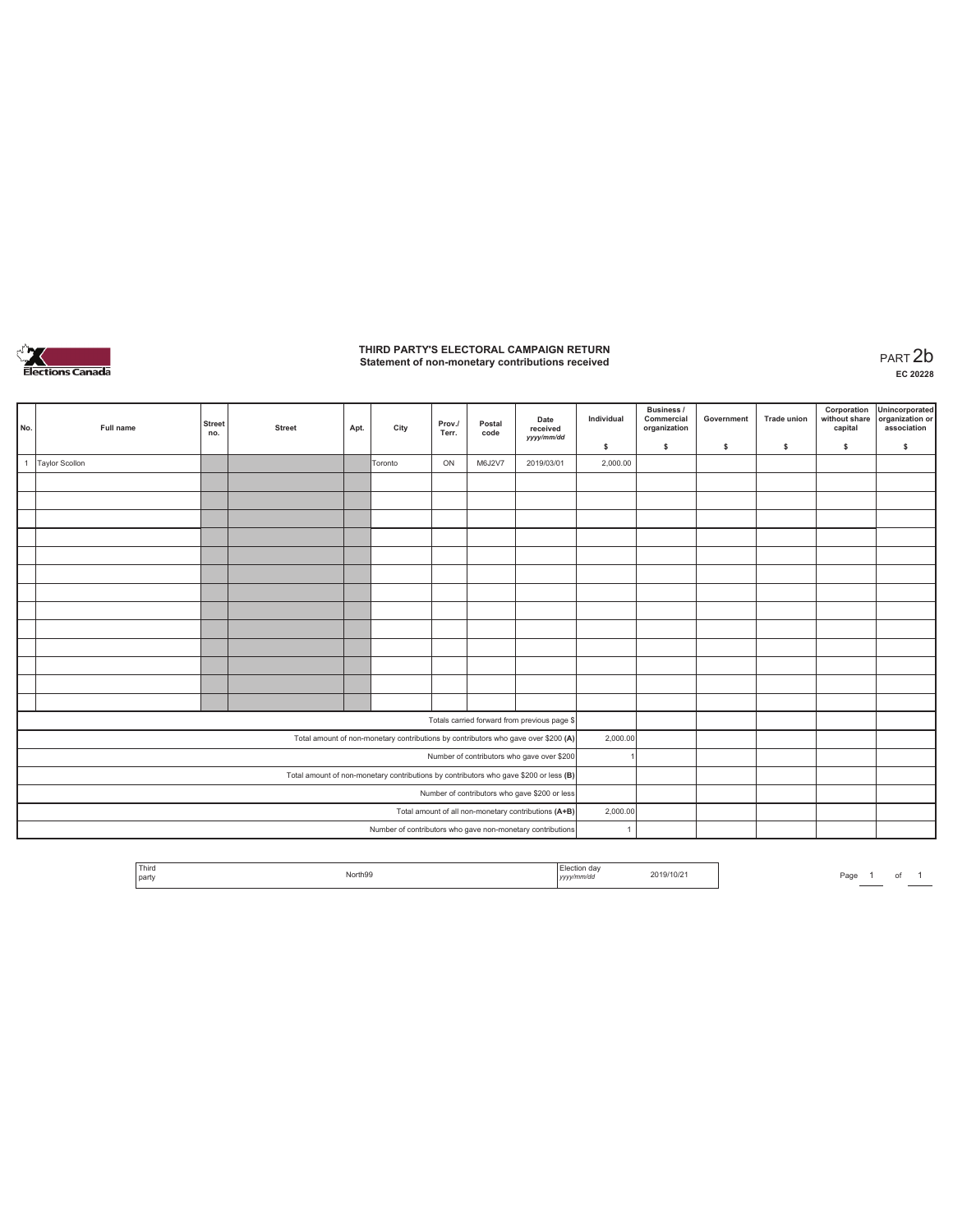

# **THIRD PARTY'S ELECTORAL CAMPAIGN RETURN Statement of non-monetary contributions received** PART 2b

| No.                                                                                   | Full name             | <b>Street</b><br>no. | <b>Street</b> | Apt. | City    | Prov./<br>Terr. | Postal<br>code | Date<br>received<br>yyyy/mm/dd                                                     | Individual | Business /<br>Commercial<br>organization | Government | Trade union | Corporation<br>without share<br>capital | Unincorporated<br>organization or<br>association |
|---------------------------------------------------------------------------------------|-----------------------|----------------------|---------------|------|---------|-----------------|----------------|------------------------------------------------------------------------------------|------------|------------------------------------------|------------|-------------|-----------------------------------------|--------------------------------------------------|
|                                                                                       |                       |                      |               |      |         |                 |                |                                                                                    | \$         | $\mathsf{s}$                             | \$         | s           | \$                                      | \$                                               |
| $\mathbf{1}$                                                                          | <b>Taylor Scollon</b> |                      |               |      | Toronto | ON              | M6J2V7         | 2019/03/01                                                                         | 2,000.00   |                                          |            |             |                                         |                                                  |
|                                                                                       |                       |                      |               |      |         |                 |                |                                                                                    |            |                                          |            |             |                                         |                                                  |
|                                                                                       |                       |                      |               |      |         |                 |                |                                                                                    |            |                                          |            |             |                                         |                                                  |
|                                                                                       |                       |                      |               |      |         |                 |                |                                                                                    |            |                                          |            |             |                                         |                                                  |
|                                                                                       |                       |                      |               |      |         |                 |                |                                                                                    |            |                                          |            |             |                                         |                                                  |
|                                                                                       |                       |                      |               |      |         |                 |                |                                                                                    |            |                                          |            |             |                                         |                                                  |
|                                                                                       |                       |                      |               |      |         |                 |                |                                                                                    |            |                                          |            |             |                                         |                                                  |
|                                                                                       |                       |                      |               |      |         |                 |                |                                                                                    |            |                                          |            |             |                                         |                                                  |
|                                                                                       |                       |                      |               |      |         |                 |                |                                                                                    |            |                                          |            |             |                                         |                                                  |
|                                                                                       |                       |                      |               |      |         |                 |                |                                                                                    |            |                                          |            |             |                                         |                                                  |
|                                                                                       |                       |                      |               |      |         |                 |                |                                                                                    |            |                                          |            |             |                                         |                                                  |
|                                                                                       |                       |                      |               |      |         |                 |                |                                                                                    |            |                                          |            |             |                                         |                                                  |
|                                                                                       |                       |                      |               |      |         |                 |                |                                                                                    |            |                                          |            |             |                                         |                                                  |
|                                                                                       |                       |                      |               |      |         |                 |                |                                                                                    |            |                                          |            |             |                                         |                                                  |
|                                                                                       |                       |                      |               |      |         |                 |                | Totals carried forward from previous page \$                                       |            |                                          |            |             |                                         |                                                  |
|                                                                                       |                       |                      |               |      |         |                 |                | Total amount of non-monetary contributions by contributors who gave over \$200 (A) | 2,000.00   |                                          |            |             |                                         |                                                  |
| Number of contributors who gave over \$200                                            |                       |                      |               |      |         |                 |                |                                                                                    |            |                                          |            |             |                                         |                                                  |
| Total amount of non-monetary contributions by contributors who gave \$200 or less (B) |                       |                      |               |      |         |                 |                |                                                                                    |            |                                          |            |             |                                         |                                                  |
| Number of contributors who gave \$200 or less                                         |                       |                      |               |      |         |                 |                |                                                                                    |            |                                          |            |             |                                         |                                                  |
|                                                                                       |                       |                      |               |      |         |                 |                | Total amount of all non-monetary contributions (A+B)                               | 2,000.00   |                                          |            |             |                                         |                                                  |
| Number of contributors who gave non-monetary contributions                            |                       |                      |               |      |         |                 |                | $\overline{1}$                                                                     |            |                                          |            |             |                                         |                                                  |

| <sup>1</sup> Third<br>the contract of the contract of<br>' party | North99 | œ<br>,,,,, | 2019/10/21 | Pa <sub>0</sub> | _____ | o |  |
|------------------------------------------------------------------|---------|------------|------------|-----------------|-------|---|--|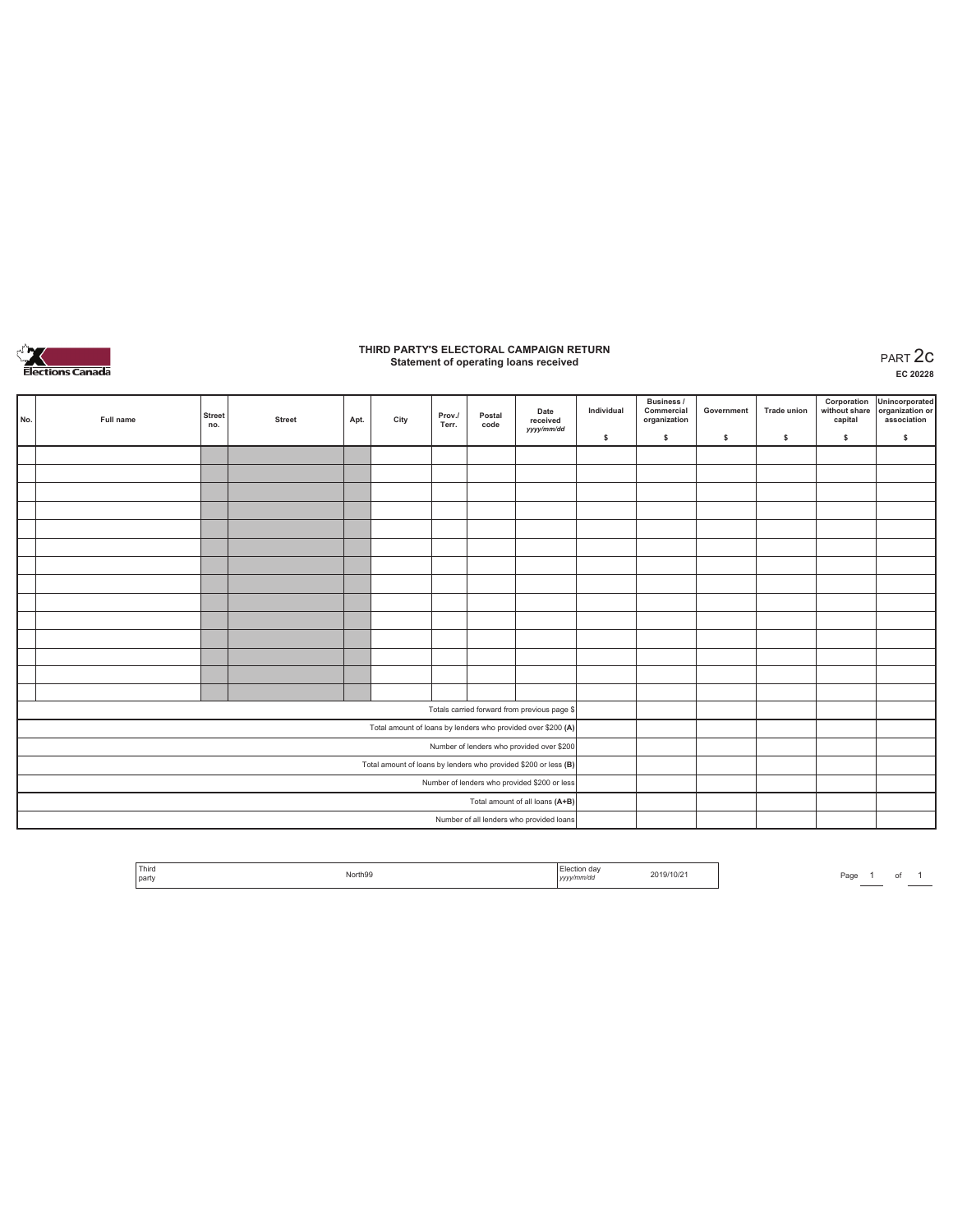

# **THIRD PARTY'S ELECTORAL CAMPAIGN RETURN Statement of operating loans received** PART 2c

|                                                                 | No. | Full name | <b>Street</b><br>no. | <b>Street</b> | Apt. | City                                                         | Prov./<br>Terr. | Postal<br>code | Date<br>received<br>yyyy/mm/dd               | Individual | Business /<br>Commercial<br>organization | Government | Trade union | Corporation<br>without share<br>capital | Unincorporated<br>organization or<br>association |
|-----------------------------------------------------------------|-----|-----------|----------------------|---------------|------|--------------------------------------------------------------|-----------------|----------------|----------------------------------------------|------------|------------------------------------------|------------|-------------|-----------------------------------------|--------------------------------------------------|
|                                                                 |     |           |                      |               |      |                                                              |                 |                |                                              | \$         | s.                                       | \$.        | \$          | \$                                      | \$                                               |
|                                                                 |     |           |                      |               |      |                                                              |                 |                |                                              |            |                                          |            |             |                                         |                                                  |
|                                                                 |     |           |                      |               |      |                                                              |                 |                |                                              |            |                                          |            |             |                                         |                                                  |
|                                                                 |     |           |                      |               |      |                                                              |                 |                |                                              |            |                                          |            |             |                                         |                                                  |
|                                                                 |     |           |                      |               |      |                                                              |                 |                |                                              |            |                                          |            |             |                                         |                                                  |
|                                                                 |     |           |                      |               |      |                                                              |                 |                |                                              |            |                                          |            |             |                                         |                                                  |
|                                                                 |     |           |                      |               |      |                                                              |                 |                |                                              |            |                                          |            |             |                                         |                                                  |
|                                                                 |     |           |                      |               |      |                                                              |                 |                |                                              |            |                                          |            |             |                                         |                                                  |
|                                                                 |     |           |                      |               |      |                                                              |                 |                |                                              |            |                                          |            |             |                                         |                                                  |
|                                                                 |     |           |                      |               |      |                                                              |                 |                |                                              |            |                                          |            |             |                                         |                                                  |
|                                                                 |     |           |                      |               |      |                                                              |                 |                |                                              |            |                                          |            |             |                                         |                                                  |
|                                                                 |     |           |                      |               |      |                                                              |                 |                |                                              |            |                                          |            |             |                                         |                                                  |
|                                                                 |     |           |                      |               |      |                                                              |                 |                |                                              |            |                                          |            |             |                                         |                                                  |
|                                                                 |     |           |                      |               |      |                                                              |                 |                |                                              |            |                                          |            |             |                                         |                                                  |
|                                                                 |     |           |                      |               |      |                                                              |                 |                |                                              |            |                                          |            |             |                                         |                                                  |
|                                                                 |     |           |                      |               |      |                                                              |                 |                | Totals carried forward from previous page \$ |            |                                          |            |             |                                         |                                                  |
|                                                                 |     |           |                      |               |      | Total amount of loans by lenders who provided over \$200 (A) |                 |                |                                              |            |                                          |            |             |                                         |                                                  |
| Number of lenders who provided over \$200                       |     |           |                      |               |      |                                                              |                 |                |                                              |            |                                          |            |             |                                         |                                                  |
| Total amount of loans by lenders who provided \$200 or less (B) |     |           |                      |               |      |                                                              |                 |                |                                              |            |                                          |            |             |                                         |                                                  |
| Number of lenders who provided \$200 or less                    |     |           |                      |               |      |                                                              |                 |                |                                              |            |                                          |            |             |                                         |                                                  |
| Total amount of all loans (A+B)                                 |     |           |                      |               |      |                                                              |                 |                |                                              |            |                                          |            |             |                                         |                                                  |
| Number of all lenders who provided loans                        |     |           |                      |               |      |                                                              |                 |                |                                              |            |                                          |            |             |                                         |                                                  |

| Third<br>party | North99<br>. | yyyy/mm/dd | 2019/10/21 | Page |  |  |
|----------------|--------------|------------|------------|------|--|--|
|                |              |            |            |      |  |  |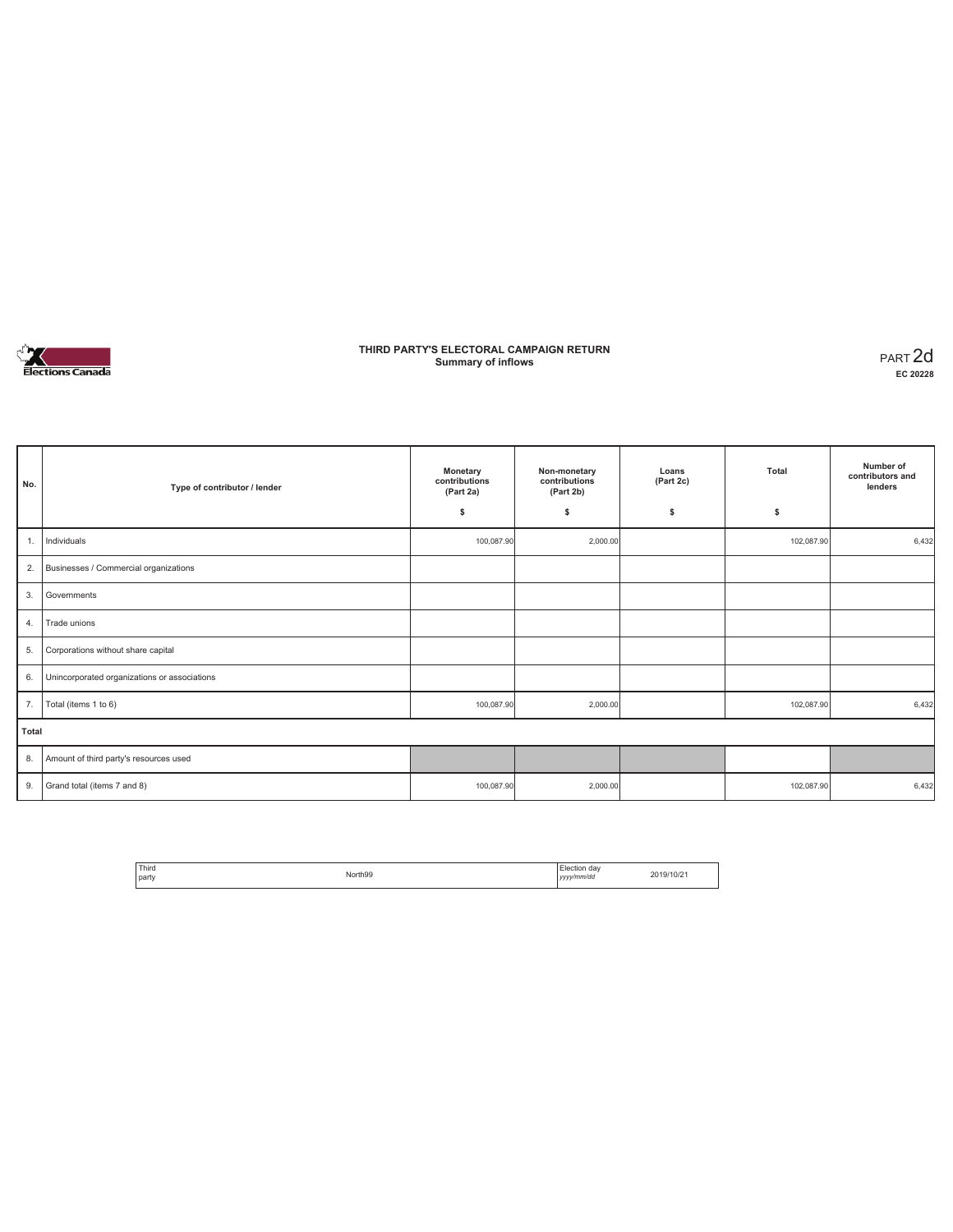

## **THIRD PARTY'S ELECTORAL CAMPAIGN RETURN Summary of inflows** PART 2d

| No.   | Type of contributor / lender                 | Monetary<br>contributions<br>(Part 2a) | Non-monetary<br>contributions<br>(Part 2b) | Loans<br>(Part 2c) | Total      |       |
|-------|----------------------------------------------|----------------------------------------|--------------------------------------------|--------------------|------------|-------|
|       |                                              | \$                                     | \$                                         | \$                 | \$         |       |
| 1.    | Individuals                                  | 100,087.90                             | 2,000.00                                   |                    | 102,087.90 | 6,432 |
| 2.    | Businesses / Commercial organizations        |                                        |                                            |                    |            |       |
| 3.    | Governments                                  |                                        |                                            |                    |            |       |
| 4.    | Trade unions                                 |                                        |                                            |                    |            |       |
| 5.    | Corporations without share capital           |                                        |                                            |                    |            |       |
| 6.    | Unincorporated organizations or associations |                                        |                                            |                    |            |       |
| 7.    | Total (items 1 to 6)                         | 100,087.90                             | 2,000.00                                   |                    | 102,087.90 | 6,432 |
| Total |                                              |                                        |                                            |                    |            |       |
| 8.    | Amount of third party's resources used       |                                        |                                            |                    |            |       |
| 9.    | Grand total (items 7 and 8)                  | 100,087.90                             | 2,000.00                                   |                    | 102,087.90 | 6,432 |

| <sup>1</sup> Third<br>l party | North99 | ı da<br>Flection<br><b>Contract Contract Contract</b><br>/v/mm/dc<br>,,,,,, | 2019/10/2 |
|-------------------------------|---------|-----------------------------------------------------------------------------|-----------|
|-------------------------------|---------|-----------------------------------------------------------------------------|-----------|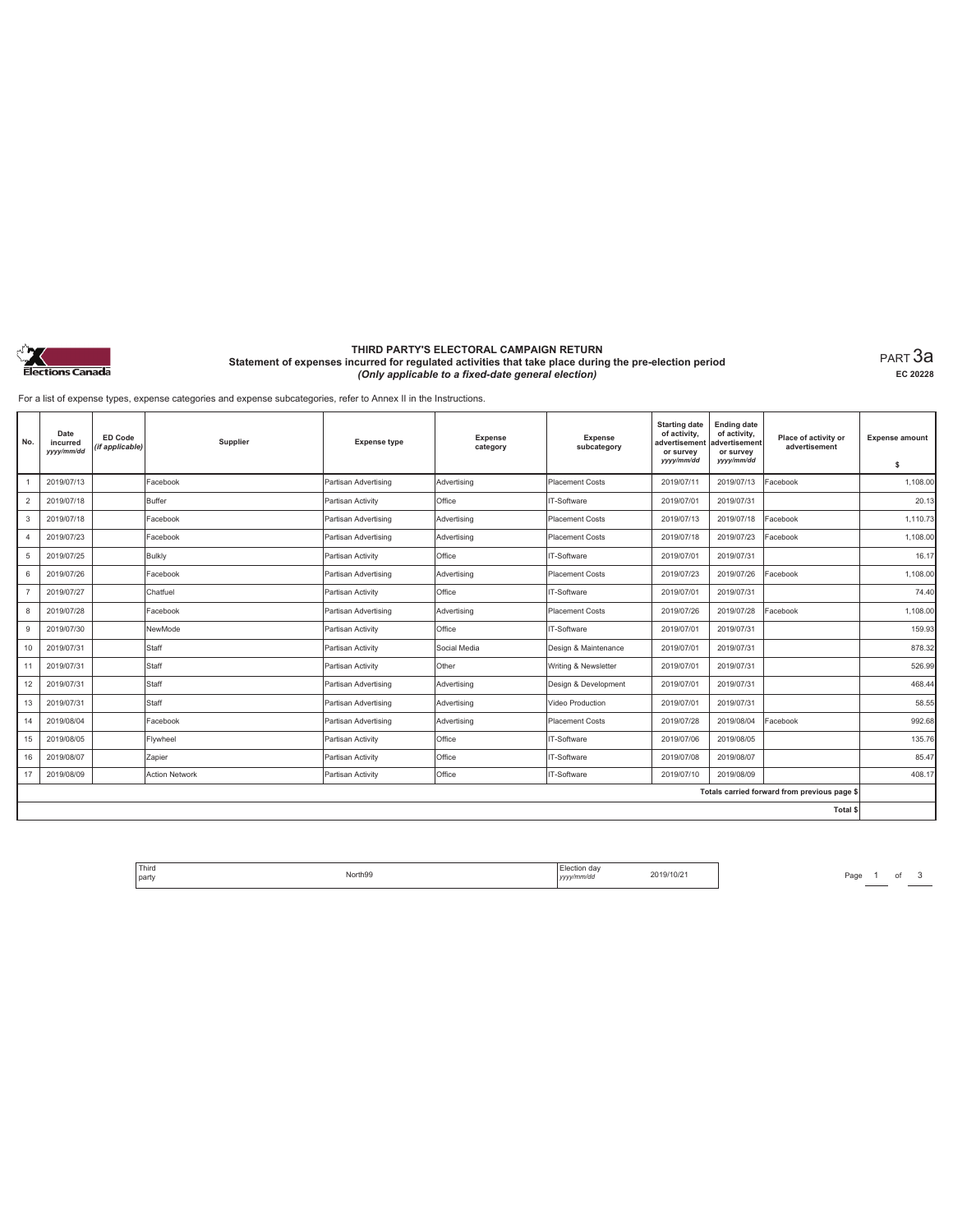

#### **THIRD PARTY'S ELECTORAL CAMPAIGN RETURN Statement of expenses incurred for regulated activities that take place during the pre-election period**  *(Only applicable to a fixed-date general election)*

PART 3a **EC 20228**

For a list of expense types, expense categories and expense subcategories, refer to Annex II in the Instructions.

| No.                                          | Date<br>incurred<br>yyyy/mm/dd | ED Code<br>(if applicable) | Supplier              | <b>Expense type</b>  | <b>Expense</b><br>category | <b>Expense</b><br>subcategory | <b>Starting date</b><br>of activity,<br>advertisement<br>or survey<br>yyyy/mm/dd | <b>Ending date</b><br>of activity,<br>advertisement<br>or survey<br>yyyy/mm/dd | Place of activity or<br>advertisement | <b>Expense amount</b><br>s |  |
|----------------------------------------------|--------------------------------|----------------------------|-----------------------|----------------------|----------------------------|-------------------------------|----------------------------------------------------------------------------------|--------------------------------------------------------------------------------|---------------------------------------|----------------------------|--|
|                                              | 2019/07/13                     |                            | Facebook              | Partisan Advertising | Advertising                | <b>Placement Costs</b>        | 2019/07/11                                                                       | 2019/07/13                                                                     | Facebook                              | 1,108.00                   |  |
| $\overline{c}$                               | 2019/07/18                     |                            | Buffer                | Partisan Activity    | Office                     | IT-Software                   | 2019/07/01                                                                       | 2019/07/31                                                                     |                                       | 20.13                      |  |
| 3                                            | 2019/07/18                     |                            | Facebook              | Partisan Advertising | Advertising                | <b>Placement Costs</b>        | 2019/07/13                                                                       | 2019/07/18                                                                     | Facebook                              | 1.110.73                   |  |
| $\overline{4}$                               | 2019/07/23                     |                            | Facebook              | Partisan Advertising | Advertising                | Placement Costs               | 2019/07/18                                                                       | 2019/07/23                                                                     | Facebook                              | 1.108.00                   |  |
| 5                                            | 2019/07/25                     |                            | Bulkly                | Partisan Activity    | Office                     | IT-Software                   | 2019/07/01                                                                       | 2019/07/31                                                                     |                                       | 16.17                      |  |
| 6                                            | 2019/07/26                     |                            | Facebook              | Partisan Advertising | Advertising                | <b>Placement Costs</b>        | 2019/07/23                                                                       | 2019/07/26                                                                     | Facebook                              | 1.108.00                   |  |
| $\overline{7}$                               | 2019/07/27                     |                            | Chatfuel              | Partisan Activity    | Office                     | IT-Software                   | 2019/07/01                                                                       | 2019/07/31                                                                     |                                       | 74.40                      |  |
| 8                                            | 2019/07/28                     |                            | Facebook              | Partisan Advertising | Advertising                | <b>Placement Costs</b>        | 2019/07/26                                                                       | 2019/07/28                                                                     | Facebook                              | 1,108.00                   |  |
| 9                                            | 2019/07/30                     |                            | NewMode               | Partisan Activity    | Office                     | IT-Software                   | 2019/07/01                                                                       | 2019/07/31                                                                     |                                       | 159.93                     |  |
| 10                                           | 2019/07/31                     |                            | Staff                 | Partisan Activity    | Social Media               | Design & Maintenance          | 2019/07/01                                                                       | 2019/07/31                                                                     |                                       | 878.32                     |  |
| 11                                           | 2019/07/31                     |                            | Staff                 | Partisan Activity    | Other                      | Writing & Newsletter          | 2019/07/01                                                                       | 2019/07/31                                                                     |                                       | 526.99                     |  |
| 12                                           | 2019/07/31                     |                            | Staff                 | Partisan Advertising | Advertising                | Design & Development          | 2019/07/01                                                                       | 2019/07/31                                                                     |                                       | 468.44                     |  |
| 13                                           | 2019/07/31                     |                            | Staff                 | Partisan Advertising | Advertising                | Video Production              | 2019/07/01                                                                       | 2019/07/31                                                                     |                                       | 58.55                      |  |
| 14                                           | 2019/08/04                     |                            | Facebook              | Partisan Advertising | Advertising                | Placement Costs               | 2019/07/28                                                                       | 2019/08/04                                                                     | Facebook                              | 992.68                     |  |
| 15                                           | 2019/08/05                     |                            | Flywheel              | Partisan Activity    | Office                     | IT-Software                   | 2019/07/06                                                                       | 2019/08/05                                                                     |                                       | 135.76                     |  |
| 16                                           | 2019/08/07                     |                            | Zapier                | Partisan Activity    | Office                     | IT-Software                   | 2019/07/08                                                                       | 2019/08/07                                                                     |                                       | 85.47                      |  |
| 17                                           | 2019/08/09                     |                            | <b>Action Network</b> | Partisan Activity    | Office                     | IT-Software                   | 2019/07/10                                                                       | 2019/08/09                                                                     |                                       | 408.17                     |  |
| Totals carried forward from previous page \$ |                                |                            |                       |                      |                            |                               |                                                                                  |                                                                                |                                       |                            |  |
|                                              |                                |                            |                       |                      |                            |                               |                                                                                  |                                                                                | <b>Total \$</b>                       |                            |  |

Flection day 2019/10/21 Page 1 of 3 Page 1 of 3 Page 1 of 3 Page 1 of 3 Page 1 of 3 Page 1 of 3 Page 1 of 3 Page 1 of 2 Page 1 of 2 Page 1 of 2 Page 1 of 2 Page 1 of 2 Page 1 of 2 Page 1 of 2 Page 1 of 2 Page 1 of 2 Page 1 Third Election day<br>North99 **Month99 Third Community Property 2019/10/21** 2019/10/21 party **Party School School School School School School School School School School School School School School School School School School School School School School School School School School School School School School**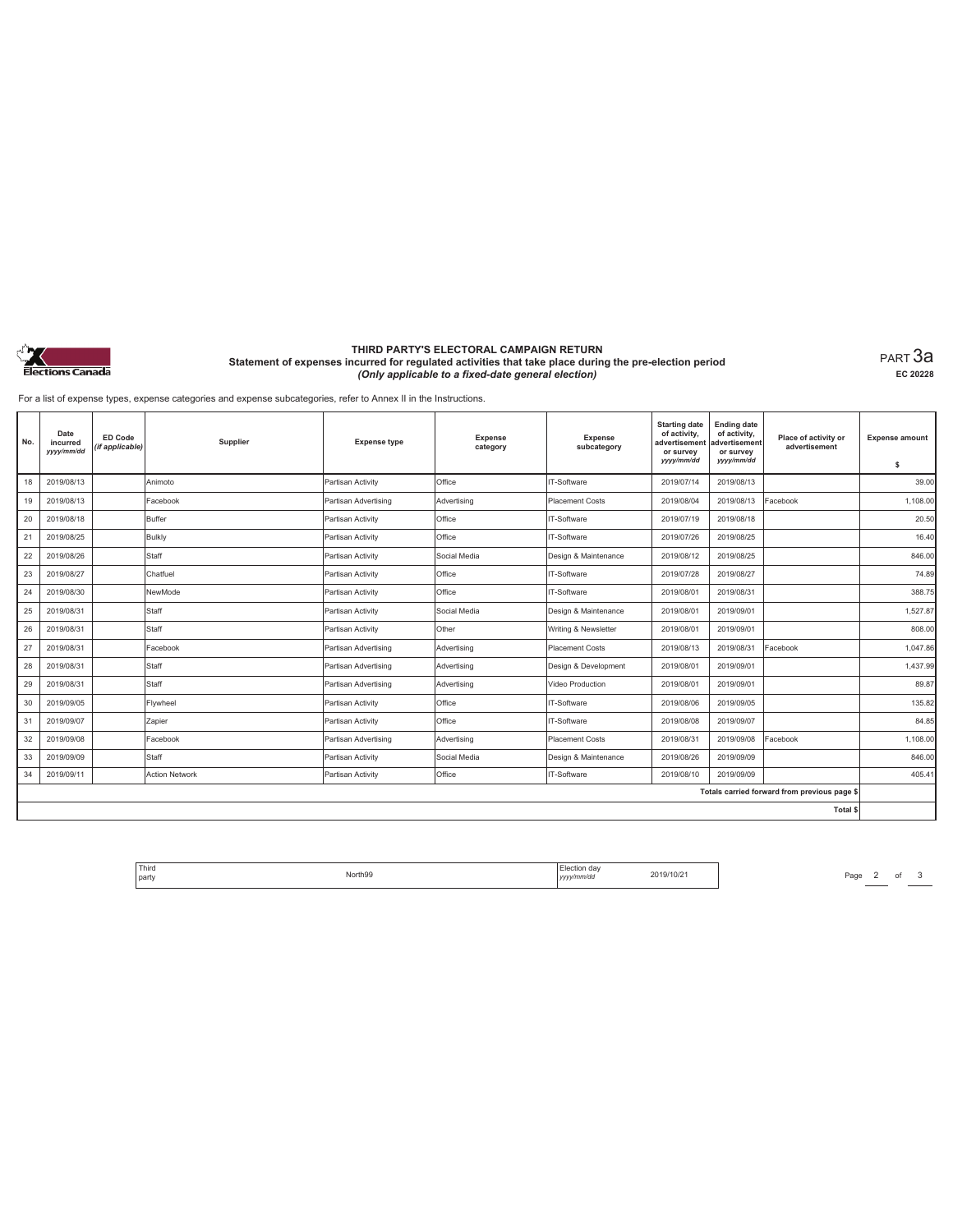

#### **THIRD PARTY'S ELECTORAL CAMPAIGN RETURN Statement of expenses incurred for regulated activities that take place during the pre-election period**  *(Only applicable to a fixed-date general election)*

PART 3a **EC 20228**

For a list of expense types, expense categories and expense subcategories, refer to Annex II in the Instructions.

| No. | Date<br>incurred<br>yyyy/mm/dd | <b>ED Code</b><br>(if applicable) | Supplier              | <b>Expense type</b>  | <b>Expense</b><br>category | Expense<br>subcategory | <b>Starting date</b><br>of activity,<br>advertisement<br>or survey<br>yyyy/mm/dd | <b>Ending date</b><br>of activity,<br>advertisement<br>or survey<br>yyyy/mm/dd | Place of activity or<br>advertisement        | <b>Expense amount</b><br>s |
|-----|--------------------------------|-----------------------------------|-----------------------|----------------------|----------------------------|------------------------|----------------------------------------------------------------------------------|--------------------------------------------------------------------------------|----------------------------------------------|----------------------------|
| 18  | 2019/08/13                     |                                   | Animoto               | Partisan Activity    | Office                     | IT-Software            | 2019/07/14                                                                       | 2019/08/13                                                                     |                                              | 39.00                      |
| 19  | 2019/08/13                     |                                   | Facebook              | Partisan Advertising | Advertising                | <b>Placement Costs</b> | 2019/08/04                                                                       | 2019/08/13                                                                     | Facebook                                     | 1,108.00                   |
| 20  | 2019/08/18                     |                                   | Buffer                | Partisan Activity    | Office                     | IT-Software            | 2019/07/19                                                                       | 2019/08/18                                                                     |                                              | 20.50                      |
| 21  | 2019/08/25                     |                                   | Bulkly                | Partisan Activity    | Office                     | IT-Software            | 2019/07/26                                                                       | 2019/08/25                                                                     |                                              | 16.40                      |
| 22  | 2019/08/26                     |                                   | Staff                 | Partisan Activity    | Social Media               | Design & Maintenance   | 2019/08/12                                                                       | 2019/08/25                                                                     |                                              | 846.00                     |
| 23  | 2019/08/27                     |                                   | Chatfuel              | Partisan Activity    | Office                     | IT-Software            | 2019/07/28                                                                       | 2019/08/27                                                                     |                                              | 74.89                      |
| 24  | 2019/08/30                     |                                   | NewMode               | Partisan Activity    | Office                     | IT-Software            | 2019/08/01                                                                       | 2019/08/31                                                                     |                                              | 388.75                     |
| 25  | 2019/08/31                     |                                   | Staff                 | Partisan Activity    | Social Media               | Design & Maintenance   | 2019/08/01                                                                       | 2019/09/01                                                                     |                                              | 1,527.87                   |
| 26  | 2019/08/31                     |                                   | Staff                 | Partisan Activity    | Other                      | Writing & Newsletter   | 2019/08/01                                                                       | 2019/09/01                                                                     |                                              | 808.00                     |
| 27  | 2019/08/31                     |                                   | Facebook              | Partisan Advertising | Advertising                | <b>Placement Costs</b> | 2019/08/13                                                                       | 2019/08/31                                                                     | Facebook                                     | 1.047.86                   |
| 28  | 2019/08/31                     |                                   | Staff                 | Partisan Advertising | Advertising                | Design & Development   | 2019/08/01                                                                       | 2019/09/01                                                                     |                                              | 1.437.99                   |
| 29  | 2019/08/31                     |                                   | Staff                 | Partisan Advertising | Advertising                | Video Production       | 2019/08/01                                                                       | 2019/09/01                                                                     |                                              | 89.87                      |
| 30  | 2019/09/05                     |                                   | Flywheel              | Partisan Activity    | Office                     | IT-Software            | 2019/08/06                                                                       | 2019/09/05                                                                     |                                              | 135.82                     |
| 31  | 2019/09/07                     |                                   | Zapier                | Partisan Activity    | Office                     | IT-Software            | 2019/08/08                                                                       | 2019/09/07                                                                     |                                              | 84.85                      |
| 32  | 2019/09/08                     |                                   | Facebook              | Partisan Advertising | Advertising                | <b>Placement Costs</b> | 2019/08/31                                                                       | 2019/09/08                                                                     | Facebook                                     | 1,108.00                   |
| 33  | 2019/09/09                     |                                   | Staff                 | Partisan Activity    | Social Media               | Design & Maintenance   | 2019/08/26                                                                       | 2019/09/09                                                                     |                                              | 846.00                     |
| 34  | 2019/09/11                     |                                   | <b>Action Network</b> | Partisan Activity    | Office                     | IT-Software            | 2019/08/10                                                                       | 2019/09/09                                                                     |                                              | 405.41                     |
|     |                                |                                   |                       |                      |                            |                        |                                                                                  |                                                                                | Totals carried forward from previous page \$ |                            |
|     |                                |                                   |                       |                      |                            |                        |                                                                                  |                                                                                | Total \$                                     |                            |

Flection day 2019/10/21 Page 2 of 3 Page 2 and 2019/10/21 Page 2 and 2019/10/21 Third Election day<br>North99 **Month99 Third Community Property 2019/10/21** 2019/10/21 party **Party School School School School School School School School School School School School School School School School School School School School School School School School School School School School School School**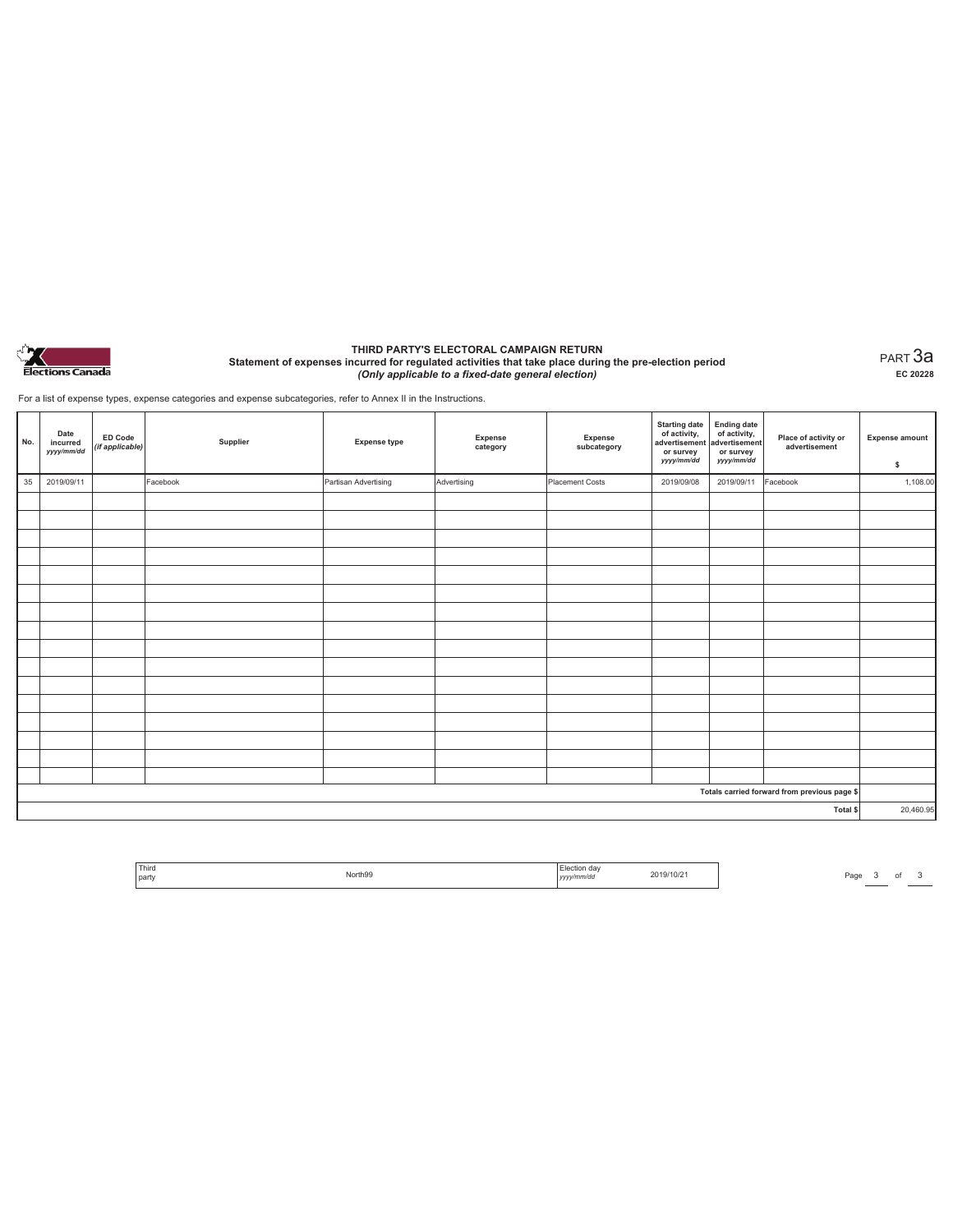

#### **THIRD PARTY'S ELECTORAL CAMPAIGN RETURN Statement of expenses incurred for regulated activities that take place during the pre-election period**  *(Only applicable to a fixed-date general election)*

PART 3a **EC 20228**

For a list of expense types, expense categories and expense subcategories, refer to Annex II in the Instructions.

| No. | Date<br>incurred<br>yyyy/mm/dd | <b>ED Code</b><br>(if applicable) | Supplier | <b>Expense type</b>  | Expense<br>category | Expense<br>subcategory | <b>Starting date</b><br>of activity,<br>advertisement<br>or survey<br>yyyy/mm/dd | Ending date<br>of activity,<br>advertisement<br>or survey<br>yyyy/mm/dd | Place of activity or<br>advertisement        | <b>Expense amount</b><br>\$ |
|-----|--------------------------------|-----------------------------------|----------|----------------------|---------------------|------------------------|----------------------------------------------------------------------------------|-------------------------------------------------------------------------|----------------------------------------------|-----------------------------|
| 35  | 2019/09/11                     |                                   | Facebook | Partisan Advertising | Advertising         | Placement Costs        | 2019/09/08                                                                       | 2019/09/11                                                              | Facebook                                     | 1,108.00                    |
|     |                                |                                   |          |                      |                     |                        |                                                                                  |                                                                         |                                              |                             |
|     |                                |                                   |          |                      |                     |                        |                                                                                  |                                                                         |                                              |                             |
|     |                                |                                   |          |                      |                     |                        |                                                                                  |                                                                         |                                              |                             |
|     |                                |                                   |          |                      |                     |                        |                                                                                  |                                                                         |                                              |                             |
|     |                                |                                   |          |                      |                     |                        |                                                                                  |                                                                         |                                              |                             |
|     |                                |                                   |          |                      |                     |                        |                                                                                  |                                                                         |                                              |                             |
|     |                                |                                   |          |                      |                     |                        |                                                                                  |                                                                         |                                              |                             |
|     |                                |                                   |          |                      |                     |                        |                                                                                  |                                                                         |                                              |                             |
|     |                                |                                   |          |                      |                     |                        |                                                                                  |                                                                         |                                              |                             |
|     |                                |                                   |          |                      |                     |                        |                                                                                  |                                                                         |                                              |                             |
|     |                                |                                   |          |                      |                     |                        |                                                                                  |                                                                         |                                              |                             |
|     |                                |                                   |          |                      |                     |                        |                                                                                  |                                                                         |                                              |                             |
|     |                                |                                   |          |                      |                     |                        |                                                                                  |                                                                         |                                              |                             |
|     |                                |                                   |          |                      |                     |                        |                                                                                  |                                                                         |                                              |                             |
|     |                                |                                   |          |                      |                     |                        |                                                                                  |                                                                         |                                              |                             |
|     |                                |                                   |          |                      |                     |                        |                                                                                  |                                                                         |                                              |                             |
|     |                                |                                   |          |                      |                     |                        |                                                                                  |                                                                         | Totals carried forward from previous page \$ |                             |
|     |                                |                                   |          |                      |                     |                        |                                                                                  |                                                                         | Total \$                                     | 20,460.95                   |

| ' Third        | orth <sub>99</sub> | - 02            | 19/10/2 |
|----------------|--------------------|-----------------|---------|
| I party<br>. . | .                  | :/mm/dc<br>,,,, |         |

Page 3 of 3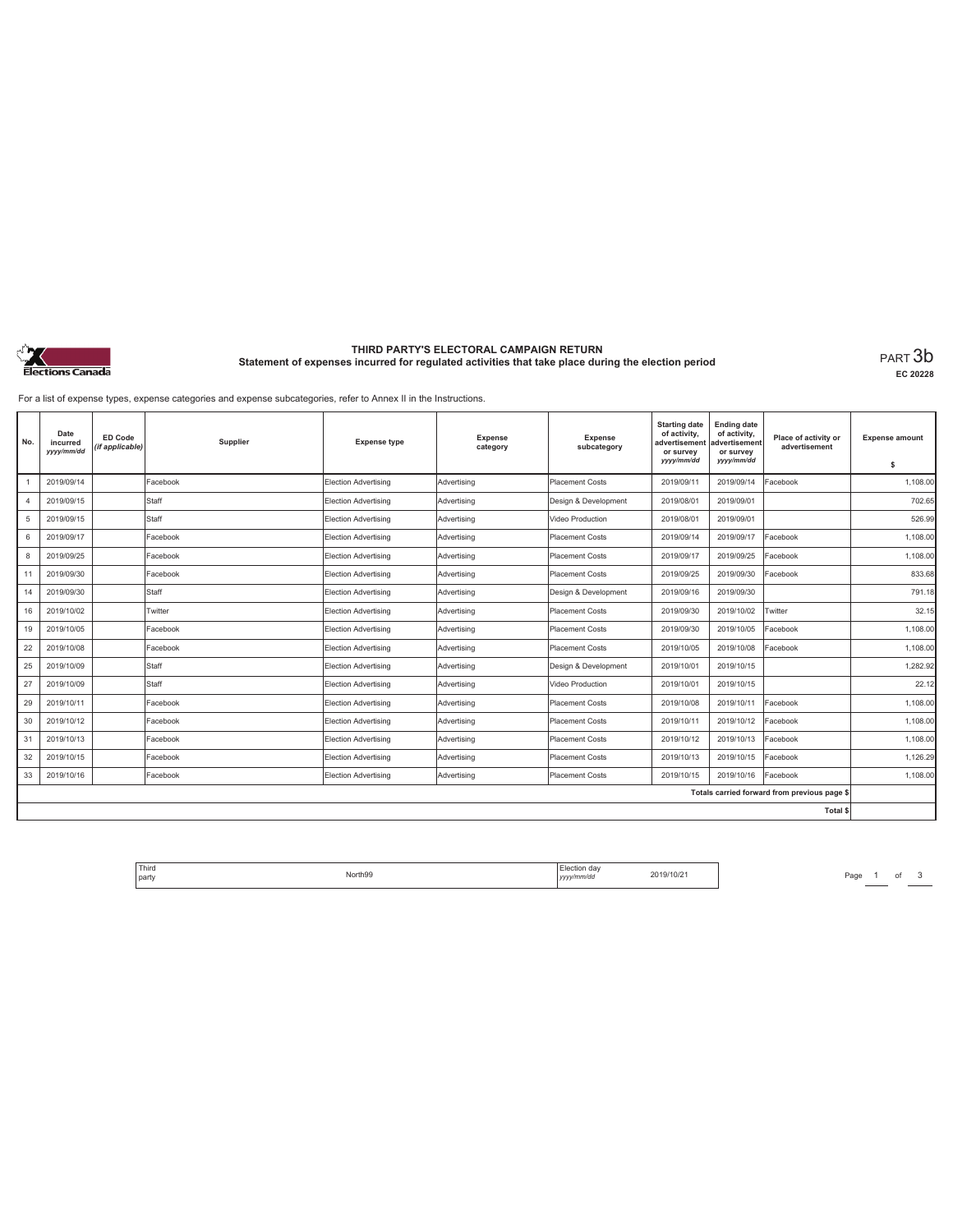

# **THIRD PARTY'S ELECTORAL CAMPAIGN RETURN Statement of expenses incurred for regulated activities that take place during the election period** PART 3b

**EC 20228**

For a list of expense types, expense categories and expense subcategories, refer to Annex II in the Instructions.

| No. | Date<br>incurred<br>yyyy/mm/dd | <b>ED Code</b><br>(if applicable) | Supplier | <b>Expense type</b>         | Expense<br>category | <b>Expense</b><br>subcategory | <b>Starting date</b><br>of activity,<br>advertisement<br>or survey<br>yyyy/mm/dd | <b>Ending date</b><br>of activity,<br>advertisement<br>or survey<br>yyyy/mm/dd | Place of activity or<br>advertisement        | <b>Expense amount</b><br>\$ |
|-----|--------------------------------|-----------------------------------|----------|-----------------------------|---------------------|-------------------------------|----------------------------------------------------------------------------------|--------------------------------------------------------------------------------|----------------------------------------------|-----------------------------|
|     | 2019/09/14                     |                                   | Facebook | <b>Election Advertising</b> | Advertising         | Placement Costs               | 2019/09/11                                                                       | 2019/09/14                                                                     | Facebook                                     | 1,108.00                    |
| 4   | 2019/09/15                     |                                   | Staff    | Election Advertising        | Advertising         | Design & Development          | 2019/08/01                                                                       | 2019/09/01                                                                     |                                              | 702.65                      |
| 5   | 2019/09/15                     |                                   | Staff    | Election Advertising        | Advertising         | Video Production              | 2019/08/01                                                                       | 2019/09/01                                                                     |                                              | 526.99                      |
| 6   | 2019/09/17                     |                                   | Facebook | <b>Election Advertising</b> | Advertising         | <b>Placement Costs</b>        | 2019/09/14                                                                       | 2019/09/17                                                                     | Facebook                                     | 1.108.00                    |
| 8   | 2019/09/25                     |                                   | Facebook | Election Advertising        | Advertising         | <b>Placement Costs</b>        | 2019/09/17                                                                       | 2019/09/25                                                                     | Facebook                                     | 1,108.00                    |
| 11  | 2019/09/30                     |                                   | Facebook | Election Advertising        | Advertising         | <b>Placement Costs</b>        | 2019/09/25                                                                       | 2019/09/30                                                                     | Facebook                                     | 833.68                      |
| 14  | 2019/09/30                     |                                   | Staff    | <b>Election Advertising</b> | Advertising         | Design & Development          | 2019/09/16                                                                       | 2019/09/30                                                                     |                                              | 791.18                      |
|     |                                |                                   |          |                             |                     |                               |                                                                                  |                                                                                |                                              |                             |
| 16  | 2019/10/02                     |                                   | Twitter  | Election Advertising        | Advertising         | <b>Placement Costs</b>        | 2019/09/30                                                                       | 2019/10/02                                                                     | Twitter                                      | 32.15                       |
| 19  | 2019/10/05                     |                                   | Facebook | Election Advertising        | Advertising         | <b>Placement Costs</b>        | 2019/09/30                                                                       | 2019/10/05                                                                     | Facebook                                     | 1,108.00                    |
| 22  | 2019/10/08                     |                                   | Facebook | <b>Election Advertising</b> | Advertising         | <b>Placement Costs</b>        | 2019/10/05                                                                       | 2019/10/08                                                                     | Facebook                                     | 1,108.00                    |
| 25  | 2019/10/09                     |                                   | Staff    | Election Advertising        | Advertising         | Design & Development          | 2019/10/01                                                                       | 2019/10/15                                                                     |                                              | 1,282.92                    |
| 27  | 2019/10/09                     |                                   | Staff    | Election Advertising        | Advertising         | Video Production              | 2019/10/01                                                                       | 2019/10/15                                                                     |                                              | 22.12                       |
| 29  | 2019/10/11                     |                                   | Facebook | Election Advertising        | Advertising         | <b>Placement Costs</b>        | 2019/10/08                                                                       | 2019/10/11                                                                     | Facebook                                     | 1,108.00                    |
| 30  | 2019/10/12                     |                                   | Facebook | Election Advertising        | Advertising         | <b>Placement Costs</b>        | 2019/10/11                                                                       | 2019/10/12                                                                     | Facebook                                     | 1,108.00                    |
| 31  | 2019/10/13                     |                                   | Facebook | <b>Election Advertising</b> | Advertising         | <b>Placement Costs</b>        | 2019/10/12                                                                       | 2019/10/13                                                                     | Facebook                                     | 1,108.00                    |
| 32  | 2019/10/15                     |                                   | Facebook | Election Advertising        | Advertising         | <b>Placement Costs</b>        | 2019/10/13                                                                       | 2019/10/15                                                                     | Facebook                                     | 1,126.29                    |
| 33  | 2019/10/16                     |                                   | Facebook | Election Advertising        | Advertising         | <b>Placement Costs</b>        | 2019/10/15                                                                       | 2019/10/16                                                                     | Facebook                                     | 1,108.00                    |
|     |                                |                                   |          |                             |                     |                               |                                                                                  |                                                                                | Totals carried forward from previous page \$ |                             |
|     |                                |                                   |          |                             |                     |                               |                                                                                  |                                                                                | Total \$                                     |                             |

Third The North 99 North 99 North 99 North 99 North 99 North 99 North 99 North 99 North 99 North 99 North 99 North 99 North 99 North 99 North 99 North 99 North 99 North 99 North 99 North 99 North 99 North 99 North 99 North party North99 Election day *yyyy/mm/dd* 2019/10/21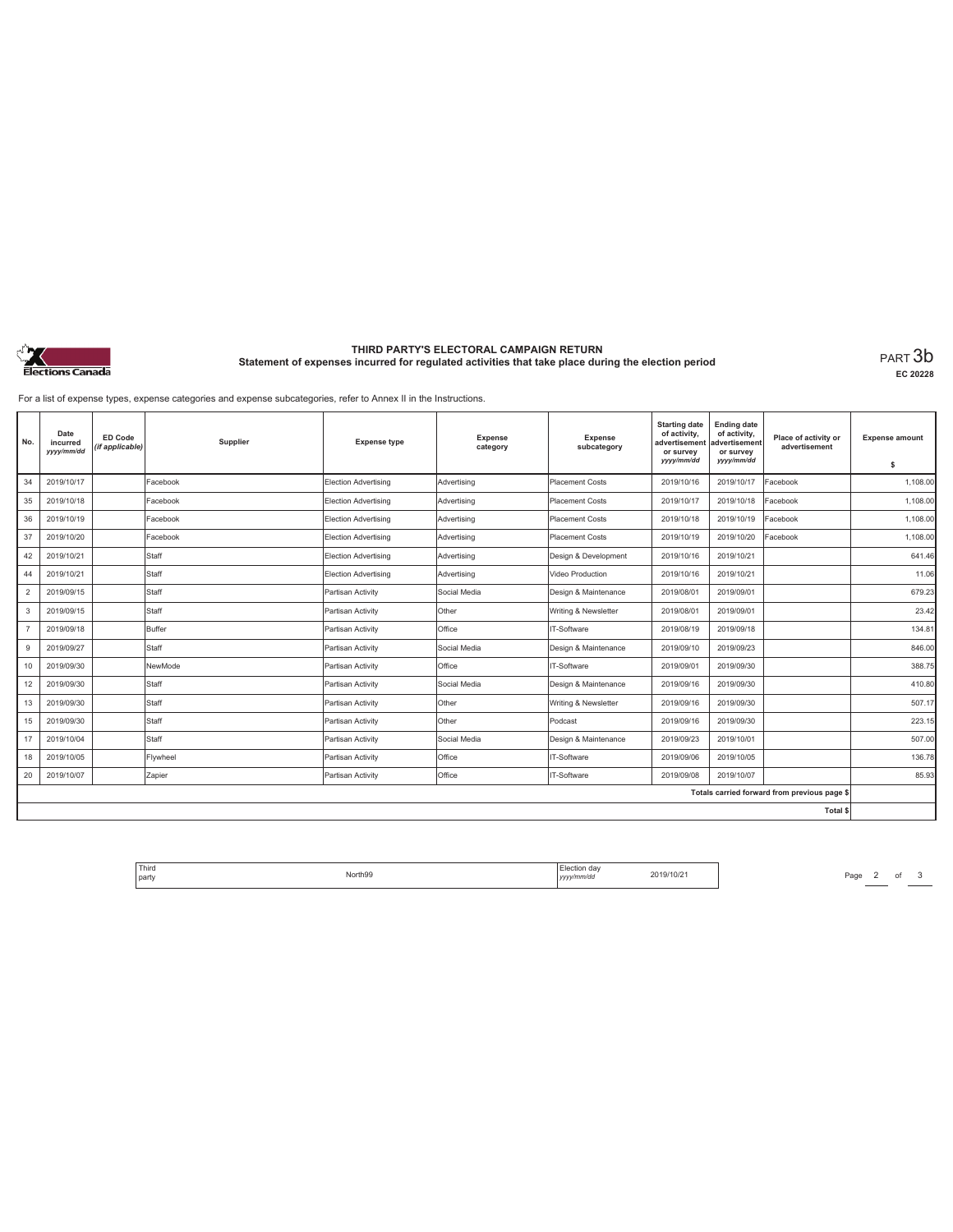

# **THIRD PARTY'S ELECTORAL CAMPAIGN RETURN Statement of expenses incurred for regulated activities that take place during the election period** PART 3b

**EC 20228**

For a list of expense types, expense categories and expense subcategories, refer to Annex II in the Instructions.

| No.            | Date<br>incurred<br>yyyy/mm/dd | ED Code<br>(if applicable) | Supplier | <b>Expense type</b>         | Expense<br>category | <b>Expense</b><br>subcategory | <b>Starting date</b><br>of activity,<br>advertisement<br>or survey<br>yyyy/mm/dd | <b>Ending date</b><br>of activity,<br>advertisement<br>or survey<br>yyyy/mm/dd | Place of activity or<br>advertisement        | <b>Expense amount</b><br>\$ |
|----------------|--------------------------------|----------------------------|----------|-----------------------------|---------------------|-------------------------------|----------------------------------------------------------------------------------|--------------------------------------------------------------------------------|----------------------------------------------|-----------------------------|
| 34             | 2019/10/17                     |                            | Facebook | <b>Election Advertising</b> | Advertising         | <b>Placement Costs</b>        | 2019/10/16                                                                       | 2019/10/17                                                                     | Facebook                                     | 1.108.00                    |
| 35             | 2019/10/18                     |                            | Facebook | Election Advertising        | Advertising         | Placement Costs               | 2019/10/17                                                                       | 2019/10/18                                                                     | Facebook                                     | 1.108.00                    |
| 36             | 2019/10/19                     |                            | Facebook | Election Advertising        | Advertising         | Placement Costs               | 2019/10/18                                                                       | 2019/10/19                                                                     | Facebook                                     | 1,108.00                    |
| 37             | 2019/10/20                     |                            | Facebook | Election Advertising        | Advertising         | <b>Placement Costs</b>        | 2019/10/19                                                                       | 2019/10/20                                                                     | Facebook                                     | 1,108.00                    |
| 42             | 2019/10/21                     |                            | Staff    | Election Advertising        | Advertising         | Design & Development          | 2019/10/16                                                                       | 2019/10/21                                                                     |                                              | 641.46                      |
| 44             | 2019/10/21                     |                            | Staff    | Election Advertising        | Advertising         | Video Production              | 2019/10/16                                                                       | 2019/10/21                                                                     |                                              | 11.06                       |
| $\overline{2}$ | 2019/09/15                     |                            | Staff    | Partisan Activity           | Social Media        | Design & Maintenance          | 2019/08/01                                                                       | 2019/09/01                                                                     |                                              | 679.23                      |
| 3              | 2019/09/15                     |                            | Staff    | Partisan Activity           | Other               | Writing & Newsletter          | 2019/08/01                                                                       | 2019/09/01                                                                     |                                              | 23.42                       |
|                | 2019/09/18                     |                            | Buffer   | Partisan Activity           | Office              | IT-Software                   | 2019/08/19                                                                       | 2019/09/18                                                                     |                                              | 134.81                      |
| 9              | 2019/09/27                     |                            | Staff    | Partisan Activity           | Social Media        | Design & Maintenance          | 2019/09/10                                                                       | 2019/09/23                                                                     |                                              | 846.00                      |
| 10             | 2019/09/30                     |                            | NewMode  | Partisan Activity           | Office              | IT-Software                   | 2019/09/01                                                                       | 2019/09/30                                                                     |                                              | 388.75                      |
| 12             | 2019/09/30                     |                            | Staff    | Partisan Activity           | Social Media        | Design & Maintenance          | 2019/09/16                                                                       | 2019/09/30                                                                     |                                              | 410.80                      |
| 13             | 2019/09/30                     |                            | Staff    | Partisan Activity           | Other               | Writing & Newsletter          | 2019/09/16                                                                       | 2019/09/30                                                                     |                                              | 507.17                      |
| 15             | 2019/09/30                     |                            | Staff    | Partisan Activity           | <b>Other</b>        | Podcast                       | 2019/09/16                                                                       | 2019/09/30                                                                     |                                              | 223.15                      |
| 17             | 2019/10/04                     |                            | Staff    | Partisan Activity           | Social Media        | Design & Maintenance          | 2019/09/23                                                                       | 2019/10/01                                                                     |                                              | 507.00                      |
| 18             | 2019/10/05                     |                            | Flywheel | Partisan Activity           | Office              | IT-Software                   | 2019/09/06                                                                       | 2019/10/05                                                                     |                                              | 136.78                      |
| 20             | 2019/10/07                     |                            | Zapier   | Partisan Activity           | Office              | IT-Software                   | 2019/09/08                                                                       | 2019/10/07                                                                     |                                              | 85.93                       |
|                |                                |                            |          |                             |                     |                               |                                                                                  |                                                                                | Totals carried forward from previous page \$ |                             |
|                |                                |                            |          |                             |                     |                               |                                                                                  |                                                                                | Total \$                                     |                             |

Third The North99 North99 North99 North99 2019/10/21 Page 2 of 3 party North99 Election day *yyyy/mm/dd* 2019/10/21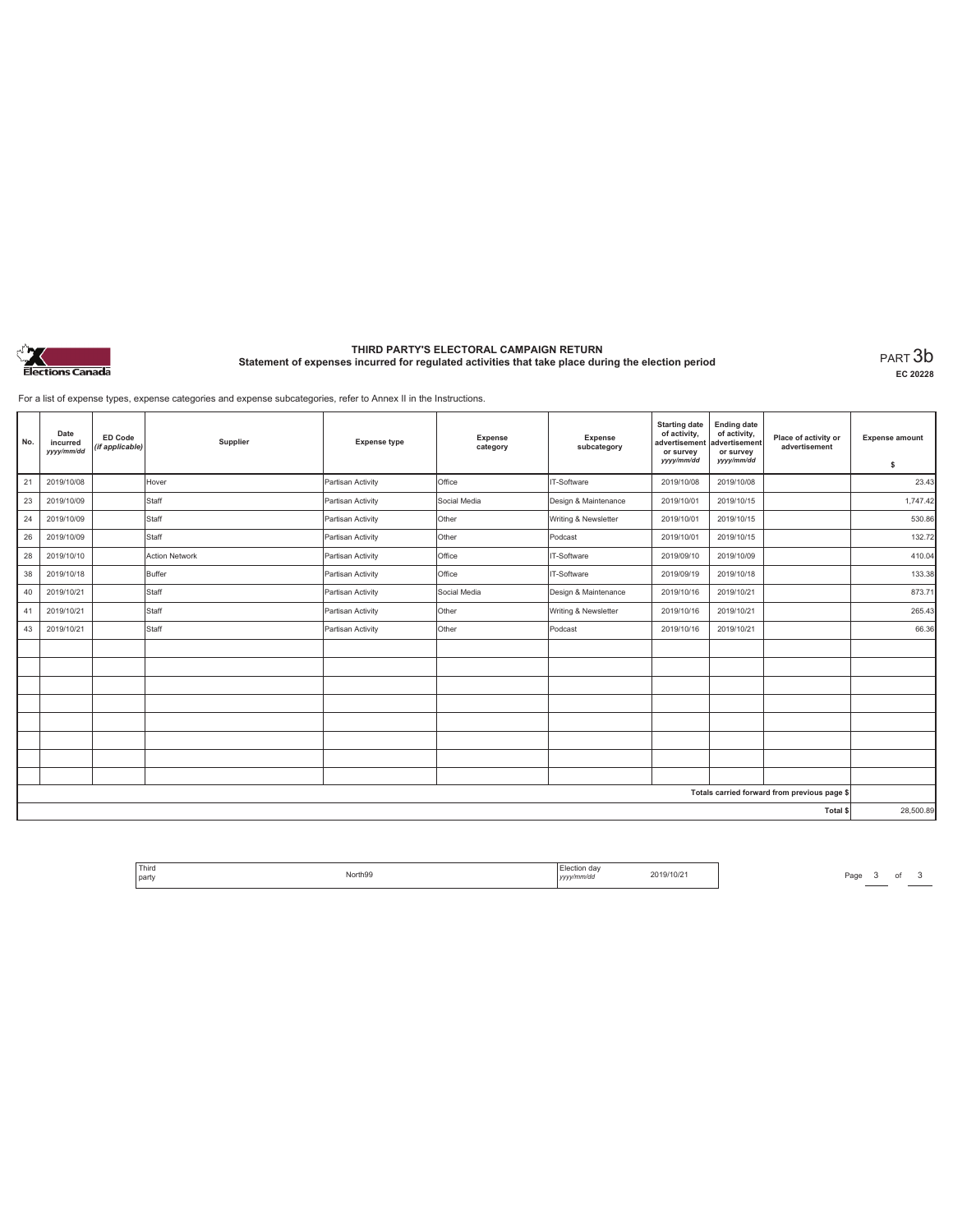

# **THIRD PARTY'S ELECTORAL CAMPAIGN RETURN Statement of expenses incurred for regulated activities that take place during the election period** PART 3b

**EC 20228**

For a list of expense types, expense categories and expense subcategories, refer to Annex II in the Instructions.

| No. | Date<br>incurred<br>yyyy/mm/dd | <b>ED Code</b><br>(if applicable) | Supplier              | <b>Expense type</b> | Expense<br>category | Expense<br>subcategory | <b>Starting date</b><br>of activity,<br>advertisement<br>or survey<br>yyyy/mm/dd | <b>Ending date</b><br>of activity,<br>advertisement<br>or survey<br>yyyy/mm/dd | Place of activity or<br>advertisement        | <b>Expense amount</b><br>\$ |
|-----|--------------------------------|-----------------------------------|-----------------------|---------------------|---------------------|------------------------|----------------------------------------------------------------------------------|--------------------------------------------------------------------------------|----------------------------------------------|-----------------------------|
| 21  | 2019/10/08                     |                                   | Hover                 | Partisan Activity   | Office              | IT-Software            | 2019/10/08                                                                       | 2019/10/08                                                                     |                                              | 23.43                       |
| 23  | 2019/10/09                     |                                   | Staff                 | Partisan Activity   | Social Media        | Design & Maintenance   | 2019/10/01                                                                       | 2019/10/15                                                                     |                                              | 1,747.42                    |
| 24  | 2019/10/09                     |                                   | Staff                 | Partisan Activity   | Other               | Writing & Newsletter   | 2019/10/01                                                                       | 2019/10/15                                                                     |                                              | 530.86                      |
| 26  | 2019/10/09                     |                                   | Staff                 | Partisan Activity   | Other               | Podcast                | 2019/10/01                                                                       | 2019/10/15                                                                     |                                              | 132.72                      |
| 28  | 2019/10/10                     |                                   | <b>Action Network</b> | Partisan Activity   | Office              | IT-Software            | 2019/09/10                                                                       | 2019/10/09                                                                     |                                              | 410.04                      |
| 38  | 2019/10/18                     |                                   | <b>Buffer</b>         | Partisan Activity   | Office              | IT-Software            | 2019/09/19                                                                       | 2019/10/18                                                                     |                                              | 133.38                      |
| 40  | 2019/10/21                     |                                   | Staff                 | Partisan Activity   | Social Media        | Design & Maintenance   | 2019/10/16                                                                       | 2019/10/21                                                                     |                                              | 873.71                      |
| 41  | 2019/10/21                     |                                   | Staff                 | Partisan Activity   | Other               | Writing & Newsletter   | 2019/10/16                                                                       | 2019/10/21                                                                     |                                              | 265.43                      |
| 43  | 2019/10/21                     |                                   | Staff                 | Partisan Activity   | Other               | Podcast                | 2019/10/16                                                                       | 2019/10/21                                                                     |                                              | 66.36                       |
|     |                                |                                   |                       |                     |                     |                        |                                                                                  |                                                                                |                                              |                             |
|     |                                |                                   |                       |                     |                     |                        |                                                                                  |                                                                                |                                              |                             |
|     |                                |                                   |                       |                     |                     |                        |                                                                                  |                                                                                |                                              |                             |
|     |                                |                                   |                       |                     |                     |                        |                                                                                  |                                                                                |                                              |                             |
|     |                                |                                   |                       |                     |                     |                        |                                                                                  |                                                                                |                                              |                             |
|     |                                |                                   |                       |                     |                     |                        |                                                                                  |                                                                                |                                              |                             |
|     |                                |                                   |                       |                     |                     |                        |                                                                                  |                                                                                |                                              |                             |
|     |                                |                                   |                       |                     |                     |                        |                                                                                  |                                                                                |                                              |                             |
|     |                                |                                   |                       |                     |                     |                        |                                                                                  |                                                                                | Totals carried forward from previous page \$ |                             |
|     |                                |                                   |                       |                     |                     |                        |                                                                                  |                                                                                | Total \$                                     | 28,500.89                   |

| Third |                    | da:<br>JOP. |     |
|-------|--------------------|-------------|-----|
| party | orth <sub>99</sub> | vv/mm/dr    | 'UZ |
|       | .                  | ,,,,        |     |

Page  $3$  of  $3$